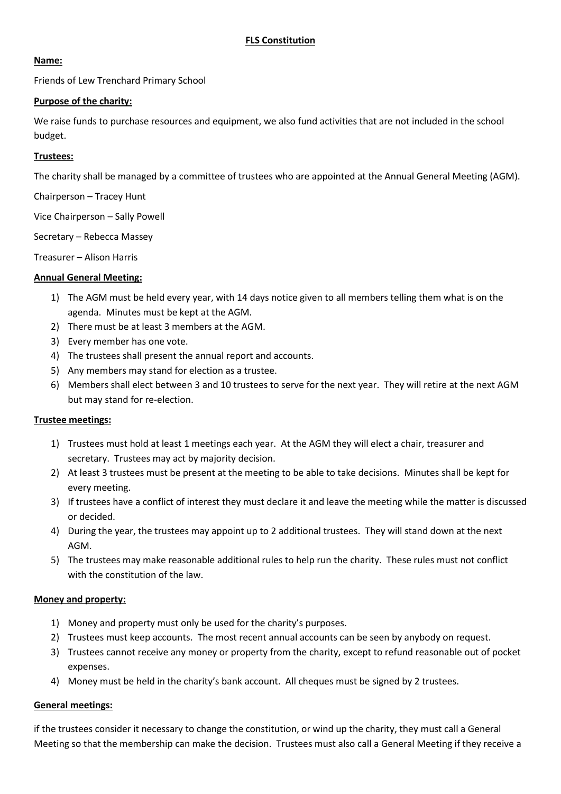### **Name:**

Friends of Lew Trenchard Primary School

## **Purpose of the charity:**

We raise funds to purchase resources and equipment, we also fund activities that are not included in the school budget.

# **Trustees:**

The charity shall be managed by a committee of trustees who are appointed at the Annual General Meeting (AGM).

Chairperson – Tracey Hunt

Vice Chairperson – Sally Powell

Secretary – Rebecca Massey

Treasurer – Alison Harris

## **Annual General Meeting:**

- 1) The AGM must be held every year, with 14 days notice given to all members telling them what is on the agenda. Minutes must be kept at the AGM.
- 2) There must be at least 3 members at the AGM.
- 3) Every member has one vote.
- 4) The trustees shall present the annual report and accounts.
- 5) Any members may stand for election as a trustee.
- 6) Members shall elect between 3 and 10 trustees to serve for the next year. They will retire at the next AGM but may stand for re-election.

### **Trustee meetings:**

- 1) Trustees must hold at least 1 meetings each year. At the AGM they will elect a chair, treasurer and secretary. Trustees may act by majority decision.
- 2) At least 3 trustees must be present at the meeting to be able to take decisions. Minutes shall be kept for every meeting.
- 3) If trustees have a conflict of interest they must declare it and leave the meeting while the matter is discussed or decided.
- 4) During the year, the trustees may appoint up to 2 additional trustees. They will stand down at the next AGM.
- 5) The trustees may make reasonable additional rules to help run the charity. These rules must not conflict with the constitution of the law.

### **Money and property:**

- 1) Money and property must only be used for the charity's purposes.
- 2) Trustees must keep accounts. The most recent annual accounts can be seen by anybody on request.
- 3) Trustees cannot receive any money or property from the charity, except to refund reasonable out of pocket expenses.
- 4) Money must be held in the charity's bank account. All cheques must be signed by 2 trustees.

### **General meetings:**

if the trustees consider it necessary to change the constitution, or wind up the charity, they must call a General Meeting so that the membership can make the decision. Trustees must also call a General Meeting if they receive a